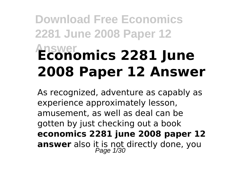# **Download Free Economics 2281 June 2008 Paper 12 Answer Economics 2281 June 2008 Paper 12 Answer**

As recognized, adventure as capably as experience approximately lesson, amusement, as well as deal can be gotten by just checking out a book **economics 2281 june 2008 paper 12 answer** also it is not directly done, you Page 1/30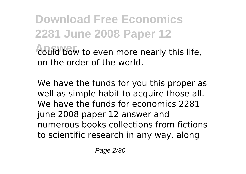**Download Free Economics 2281 June 2008 Paper 12** could bow to even more nearly this life, on the order of the world.

We have the funds for you this proper as well as simple habit to acquire those all. We have the funds for economics 2281 june 2008 paper 12 answer and numerous books collections from fictions to scientific research in any way. along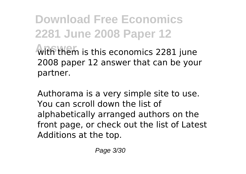**Download Free Economics 2281 June 2008 Paper 12 With them** is this economics 2281 june 2008 paper 12 answer that can be your partner.

Authorama is a very simple site to use. You can scroll down the list of alphabetically arranged authors on the front page, or check out the list of Latest Additions at the top.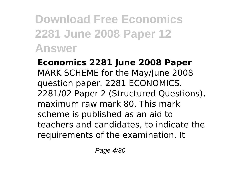**Economics 2281 June 2008 Paper** MARK SCHEME for the May/June 2008 question paper. 2281 ECONOMICS. 2281/02 Paper 2 (Structured Questions), maximum raw mark 80. This mark scheme is published as an aid to teachers and candidates, to indicate the requirements of the examination. It

Page 4/30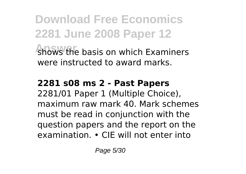**Download Free Economics 2281 June 2008 Paper 12 Answer** shows the basis on which Examiners were instructed to award marks.

## **2281 s08 ms 2 - Past Papers**

2281/01 Paper 1 (Multiple Choice), maximum raw mark 40. Mark schemes must be read in conjunction with the question papers and the report on the examination. • CIE will not enter into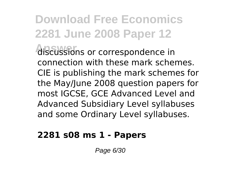**Answer** discussions or correspondence in connection with these mark schemes. CIE is publishing the mark schemes for the May/June 2008 question papers for most IGCSE, GCE Advanced Level and Advanced Subsidiary Level syllabuses and some Ordinary Level syllabuses.

### **2281 s08 ms 1 - Papers**

Page 6/30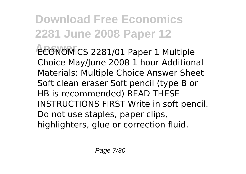**Download Free Economics 2281 June 2008 Paper 12 Answer** ECONOMICS 2281/01 Paper 1 Multiple Choice May/June 2008 1 hour Additional Materials: Multiple Choice Answer Sheet Soft clean eraser Soft pencil (type B or HB is recommended) READ THESE INSTRUCTIONS FIRST Write in soft pencil. Do not use staples, paper clips,

highlighters, glue or correction fluid.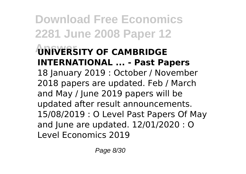**Download Free Economics 2281 June 2008 Paper 12 Answer UNIVERSITY OF CAMBRIDGE INTERNATIONAL ... - Past Papers** 18 January 2019 : October / November 2018 papers are updated. Feb / March and May / June 2019 papers will be updated after result announcements. 15/08/2019 : O Level Past Papers Of May and June are updated. 12/01/2020 : O Level Economics 2019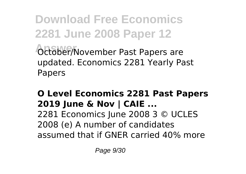**Download Free Economics 2281 June 2008 Paper 12 October/November Past Papers are** updated. Economics 2281 Yearly Past Papers

## **O Level Economics 2281 Past Papers 2019 June & Nov | CAIE ...**

2281 Economics June 2008 3 © UCLES 2008 (e) A number of candidates assumed that if GNER carried 40% more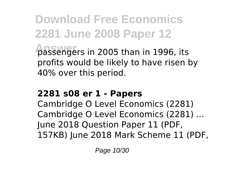**Download Free Economics 2281 June 2008 Paper 12** *Dassengers in 2005 than in 1996, its* profits would be likely to have risen by 40% over this period.

### **2281 s08 er 1 - Papers**

Cambridge O Level Economics (2281) Cambridge O Level Economics (2281) ... June 2018 Question Paper 11 (PDF, 157KB) June 2018 Mark Scheme 11 (PDF,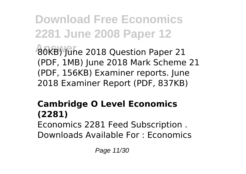**Download Free Economics 2281 June 2008 Paper 12 Answer** 80KB) June 2018 Question Paper 21 (PDF, 1MB) June 2018 Mark Scheme 21 (PDF, 156KB) Examiner reports. June 2018 Examiner Report (PDF, 837KB)

#### **Cambridge O Level Economics (2281)** Economics 2281 Feed Subscription . Downloads Available For : Economics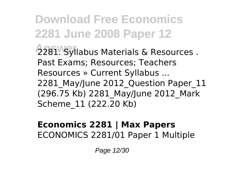**2281 June 2008 Paper 12 2281. Syllabus Materials & Resources.** Past Exams; Resources; Teachers Resources » Current Syllabus ... 2281 May/June 2012 Question Paper 11 (296.75 Kb) 2281\_May/June 2012\_Mark Scheme\_11 (222.20 Kb)

**Download Free Economics**

### **Economics 2281 | Max Papers** ECONOMICS 2281/01 Paper 1 Multiple

Page 12/30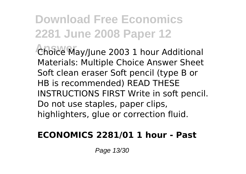**Answer** Choice May/June 2003 1 hour Additional Materials: Multiple Choice Answer Sheet Soft clean eraser Soft pencil (type B or HB is recommended) READ THESE INSTRUCTIONS FIRST Write in soft pencil. Do not use staples, paper clips, highlighters, glue or correction fluid.

### **ECONOMICS 2281/01 1 hour - Past**

Page 13/30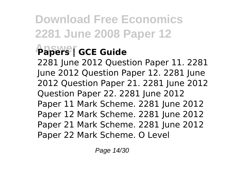## **Answer Papers | GCE Guide**

2281 June 2012 Question Paper 11. 2281 June 2012 Question Paper 12. 2281 June 2012 Question Paper 21. 2281 June 2012 Question Paper 22. 2281 June 2012 Paper 11 Mark Scheme. 2281 June 2012 Paper 12 Mark Scheme. 2281 June 2012 Paper 21 Mark Scheme. 2281 June 2012 Paper 22 Mark Scheme. O Level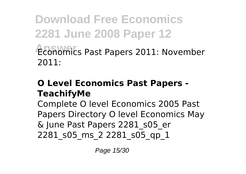**Download Free Economics 2281 June 2008 Paper 12 Answer** Economics Past Papers 2011: November 2011:

### **O Level Economics Past Papers - TeachifyMe**

Complete O level Economics 2005 Past Papers Directory O level Economics May & June Past Papers 2281\_s05\_er 2281 s05 ms 2 2281 s05 qp 1

Page 15/30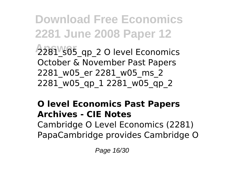**Download Free Economics 2281 June 2008 Paper 12** 2281 s05\_qp\_2 O level Economics October & November Past Papers 2281\_w05\_er 2281\_w05\_ms\_2 2281\_w05\_qp\_1 2281\_w05\_qp\_2

## **O level Economics Past Papers Archives - CIE Notes** Cambridge O Level Economics (2281) PapaCambridge provides Cambridge O

Page 16/30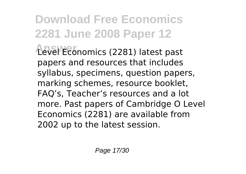**Download Free Economics 2281 June 2008 Paper 12 Answer** Level Economics (2281) latest past papers and resources that includes syllabus, specimens, question papers, marking schemes, resource booklet, FAQ's, Teacher's resources and a lot more. Past papers of Cambridge O Level Economics (2281) are available from 2002 up to the latest session.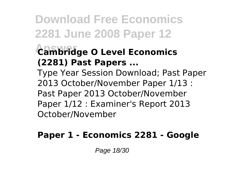## **Answer Cambridge O Level Economics (2281) Past Papers ...**

Type Year Session Download; Past Paper 2013 October/November Paper 1/13 : Past Paper 2013 October/November Paper 1/12 : Examiner's Report 2013 October/November

## **Paper 1 - Economics 2281 - Google**

Page 18/30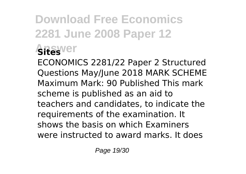## **Download Free Economics 2281 June 2008 Paper 12 Answer Sites**

ECONOMICS 2281/22 Paper 2 Structured Questions May/June 2018 MARK SCHEME Maximum Mark: 90 Published This mark scheme is published as an aid to teachers and candidates, to indicate the requirements of the examination. It shows the basis on which Examiners were instructed to award marks. It does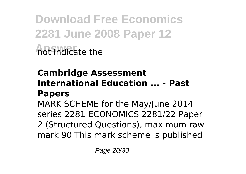**Download Free Economics 2281 June 2008 Paper 12 Answer** not indicate the

## **Cambridge Assessment International Education ... - Past Papers**

MARK SCHEME for the May/June 2014 series 2281 ECONOMICS 2281/22 Paper 2 (Structured Questions), maximum raw mark 90 This mark scheme is published

Page 20/30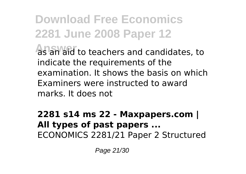**Download Free Economics 2281 June 2008 Paper 12 As an aid to teachers and candidates, to** indicate the requirements of the examination. It shows the basis on which Examiners were instructed to award marks. It does not

**2281 s14 ms 22 - Maxpapers.com | All types of past papers ...** ECONOMICS 2281/21 Paper 2 Structured

Page 21/30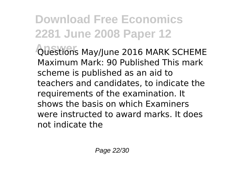**Answer** Questions May/June 2016 MARK SCHEME Maximum Mark: 90 Published This mark scheme is published as an aid to teachers and candidates, to indicate the requirements of the examination. It shows the basis on which Examiners were instructed to award marks. It does not indicate the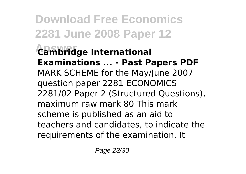**Download Free Economics 2281 June 2008 Paper 12 Answer Cambridge International Examinations ... - Past Papers PDF** MARK SCHEME for the May/June 2007 question paper 2281 ECONOMICS 2281/02 Paper 2 (Structured Questions), maximum raw mark 80 This mark scheme is published as an aid to teachers and candidates, to indicate the requirements of the examination. It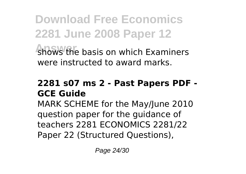**Download Free Economics 2281 June 2008 Paper 12 Answer** shows the basis on which Examiners

were instructed to award marks.

### **2281 s07 ms 2 - Past Papers PDF - GCE Guide**

MARK SCHEME for the May/June 2010 question paper for the guidance of teachers 2281 ECONOMICS 2281/22 Paper 22 (Structured Questions),

Page 24/30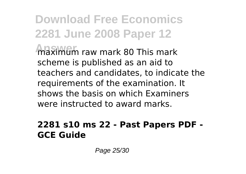**Maximum raw mark 80 This mark** scheme is published as an aid to teachers and candidates, to indicate the requirements of the examination. It shows the basis on which Examiners were instructed to award marks.

### **2281 s10 ms 22 - Past Papers PDF - GCE Guide**

Page 25/30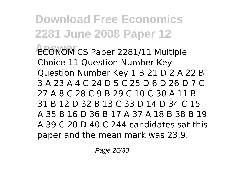**Download Free Economics 2281 June 2008 Paper 12 Answer** ECONOMICS Paper 2281/11 Multiple Choice 11 Question Number Key Question Number Key 1 B 21 D 2 A 22 B 3 A 23 A 4 C 24 D 5 C 25 D 6 D 26 D 7 C 27 A 8 C 28 C 9 B 29 C 10 C 30 A 11 B 31 B 12 D 32 B 13 C 33 D 14 D 34 C 15 A 35 B 16 D 36 B 17 A 37 A 18 B 38 B 19 A 39 C 20 D 40 C 244 candidates sat this paper and the mean mark was 23.9.

Page 26/30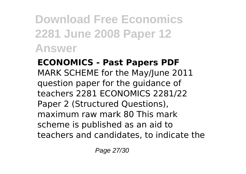## **ECONOMICS - Past Papers PDF** MARK SCHEME for the May/June 2011 question paper for the guidance of teachers 2281 ECONOMICS 2281/22 Paper 2 (Structured Questions), maximum raw mark 80 This mark scheme is published as an aid to teachers and candidates, to indicate the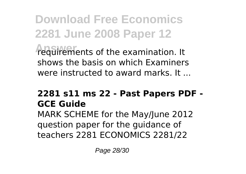**Download Free Economics 2281 June 2008 Paper 12** *requirements of the examination.* It shows the basis on which Examiners were instructed to award marks. It ...

## **2281 s11 ms 22 - Past Papers PDF - GCE Guide**

MARK SCHEME for the May/June 2012 question paper for the guidance of teachers 2281 ECONOMICS 2281/22

Page 28/30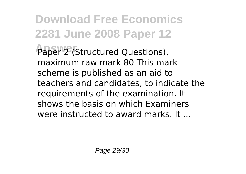**Download Free Economics 2281 June 2008 Paper 12** Paper 2 (Structured Questions), maximum raw mark 80 This mark scheme is published as an aid to teachers and candidates, to indicate the requirements of the examination. It shows the basis on which Examiners were instructed to award marks. It ...